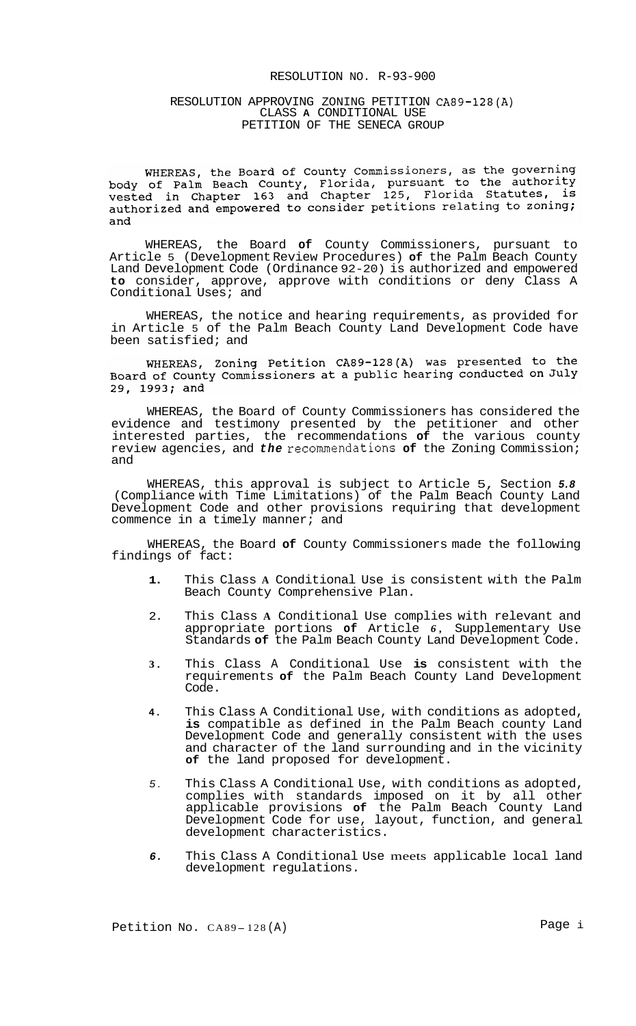## RESOLUTION NO. R-93-900

#### RESOLUTION APPROVING ZONING PETITION CA89-128(A) CLASS **A** CONDITIONAL USE PETITION OF THE SENECA GROUP

WHEREAS, the Board of County Commissioners, as the governing<br>body of Palm Beach County, Florida, pursuant to the authority<br>vested in Chapter 163 and Chapter 125, Florida Statutes, is authorized and empowered to consider petitions relating to zoning; and

WHEREAS, the Board **of** County Commissioners, pursuant to Article 5 (Development Review Procedures) **of** the Palm Beach County Land Development Code (Ordinance 92-20) is authorized and empowered **to** consider, approve, approve with conditions or deny Class A Conditional Uses; and

WHEREAS, the notice and hearing requirements, as provided for in Article 5 of the Palm Beach County Land Development Code have been satisfied; and

WHEREAS, Zoning Petition CA89-128(A) was presented to the Board of County Commissioners at a public hearing conducted on July 29, 1993; and

WHEREAS, the Board of County Commissioners has considered the evidence and testimony presented by the petitioner and other interested parties, the recommendations **of** the various county review agencies, and *the* recommendations **of** the Zoning Commission; and

WHEREAS, this approval is subject to Article 5, Section *5.8*  (Compliance with Time Limitations) of the Palm Beach County Land Development Code and other provisions requiring that development commence in a timely manner; and

WHEREAS, the Board **of** County Commissioners made the following findings of fact:

- **1.**  This Class **A** Conditional Use is consistent with the Palm Beach County Comprehensive Plan.
- 2. This Class **A** Conditional Use complies with relevant and appropriate portions **of** Article *6,* Supplementary Use Standards **of** the Palm Beach County Land Development Code.
- **3.**  This Class A Conditional Use **is** consistent with the requirements **of** the Palm Beach County Land Development Code.
- **4.**  This Class A Conditional Use, with conditions as adopted, **is** compatible as defined in the Palm Beach county Land Development Code and generally consistent with the uses and character of the land surrounding and in the vicinity **of** the land proposed for development.
- *5.*  This Class A Conditional Use, with conditions as adopted, complies with standards imposed on it by all other applicable provisions **of** the Palm Beach County Land Development Code for use, layout, function, and general development characteristics.
- *6.*  This Class A Conditional Use meets applicable local land development regulations.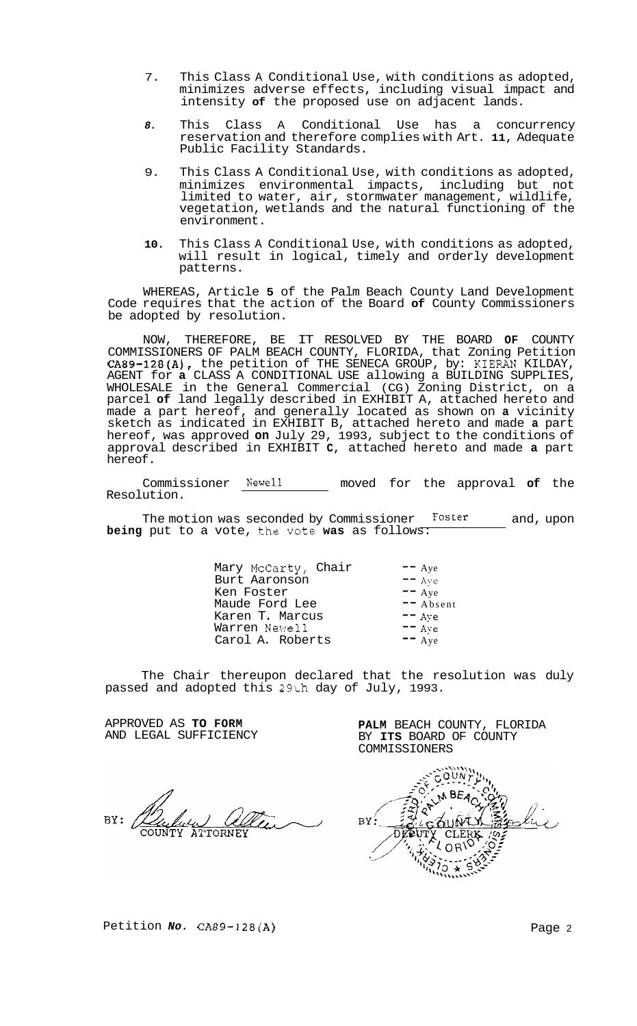- 7. This Class A Conditional Use, with conditions as adopted, minimizes adverse effects, including visual impact and intensity **of** the proposed use on adjacent lands.
- *8.* This Class A Conditional Use has a concurrency reservation and therefore complies with Art. **11,** Adequate Public Facility Standards.
- 9. This Class A Conditional Use, with conditions as adopted, minimizes environmental impacts, including but not limited to water, air, stormwater management, wildlife, vegetation, wetlands and the natural functioning of the environment.
- **10.** This Class A Conditional Use, with conditions as adopted, will result in logical, timely and orderly development patterns.

WHEREAS, Article **5** of the Palm Beach County Land Development Code requires that the action of the Board **of** County Commissioners be adopted by resolution.

NOW, THEREFORE, BE IT RESOLVED BY THE BOARD **OF** COUNTY COMMISSIONERS OF PALM BEACH COUNTY, FLORIDA, that Zoning Petition CA89-128(A), the petition of THE SENECA GROUP, by: KIERAN KILDAY, AGENT for **a** CLASS A CONDITIONAL USE allowing a BUILDING SUPPLIES, WHOLESALE in the General Commercial (CG) Zoning District, on a parcel **of** land legally described in EXHIBIT A, attached hereto and made a part hereof, and generally located as shown on **a** vicinity sketch as indicated in EXHIBIT B, attached hereto and made **a** part hereof, was approved **on** July 29, 1993, subject to the conditions of approval described in EXHIBIT **C,** attached hereto and made **a** part hereof.

Commissioner Newel1 moved for the approval **of** the Resolution.

The motion was seconded by Commissioner **Foster** and, upon **being** put to a vote, the vote **was** as follows:

| Mary McCarty, Chair | $- -$ Aye  |
|---------------------|------------|
| Burt Aaronson       | $= -$ Ave  |
| Ken Foster          | $-$ Aye    |
| Maude Ford Lee      | $-$ Absent |
| Karen T. Marcus     | $- -$ Ave  |
| Warren Newell       | $=$ $Ave$  |
| Carol A. Roberts    | $-$ Aye    |
|                     |            |

The Chair thereupon declared that the resolution was duly passed and adopted this 29th day of July, 1993.

APPROVED AS **TO FORM**  AND LEGAL SUFFICIENCY

 $BY:$ DEEU

**PALM** BEACH COUNTY, FLORIDA BY **ITS** BOARD OF COUNTY

COMMISSIONERS

Petition *No.* CA89-128(A) **Page 2**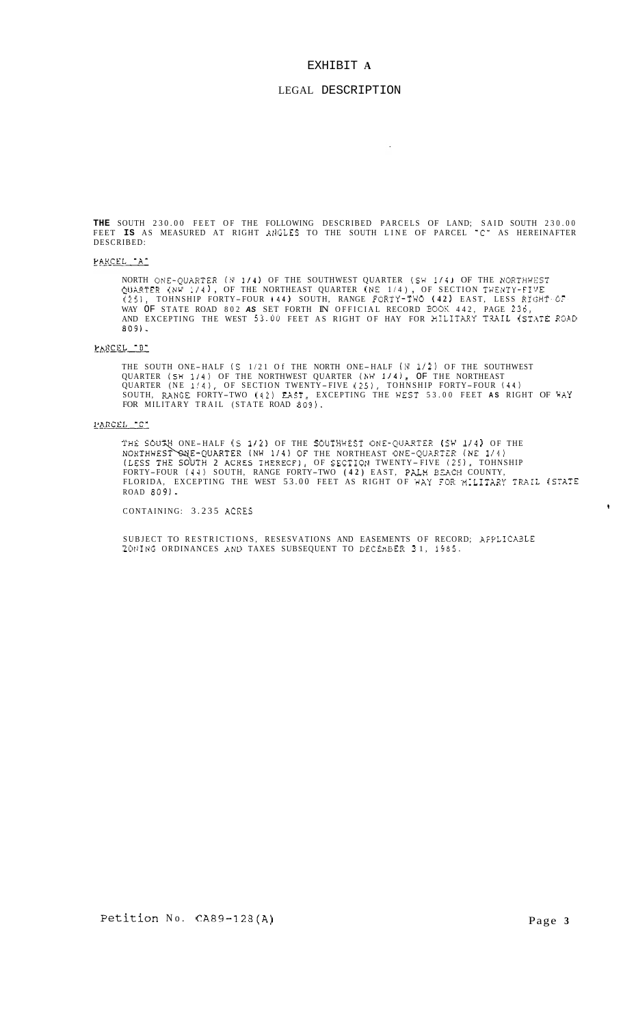#### EXHIBIT **A**

#### LEGAL DESCRIPTION

 $\mathbf{r}$ 

**THE** SOUTH 230.00 FEET OF THE FOLLOWING DESCRIBED PARCELS OF LAND; SAID SOUTH 230.00 FEET **IS** AS MEASURED AT RIGHT AtIGLES TO THE SOUTH LINE OF PARCEL **"C"** AS HEREINAFTER DESCRIBED:

#### PARCEL "A"

NORTH ONE-QUARTER (N 174) OF THE SOUTHWEST QUARTER (SW 174) OF THE NORTHWEST<br>QUARTER (NW 174<sup>)</sup>, OF THE NORTHEAST QUARTER (NE 174), OF SECTION TWENTY-FIVE<br>(25), TOHNSHIP FORTY-FOUR (44) SOUTH, RANGE FORTY-TWO <mark>(42)</mark> EAST, WAY OF STATE ROAD 802 AS SET FORTH IN OFFICIAL RECORD BOOK 442, PAGE 236, AND EXCEPTING THE WEST 53.00 FEET AS RIGHT OF HAY FOR MILITARY TRAIL (STATE ROAD **809).** 

#### PARCEL "B"

THE SOUTH ONE-HALF *(S 1/21 Of THE NORTH ONE-HALF (N 1/2)* OF THE SOUTHWEST QUARTER (SH 1/4) OF THE NORTHWEST QUARTER (NW 1/4), OF THE NORTHEAST QUARTER (NE **1/4),** OF SECTION TWENTY- FIVE (2.51, TOHNSHIP FORTY-FOUR **(44)**  SOUTH, RXNGE FORTY-TWO **(42)** EAST, EXCEPTING THE VEST 53.00 FEET **AS** RIGHT OF HAY FOR MILITARY TRAIL (STATE ROAD **809).** 

#### PARCEL "C"

ONE-HALF (S 1/2) OF THE SOUTHWEST ONE-QUARTER (SW 1/4) OF THE THE NORTHEAST ONE-QUARTER (NE 1/4)<br>OF SECTION TWENTY-FIVE (25)<mark>,</mark> TOHNSHIP FORTY-FOUR (44) SOUTH, RANGE FORTY-TWO (42) EAST, PALM BEACH COUNTY, FLORIDA, EXCEPTING THE WEST 53.00 FEET AS RIGHT OF YAY **FOR** MiLITX2Y TRXiL (STA?e ROAD *809).* 

CONTAINING: 3.235 ACKES

SUBJECT TO RESTRICTIONS, RESESVATIONS AND EASEMENTS OF RECORD; APPLICABLE ZOtlING ORDINANCES ANL) TAXES SUBSEQUENT TO DECEHBER *2* 1, 15185.

 $\pmb{\cdot}$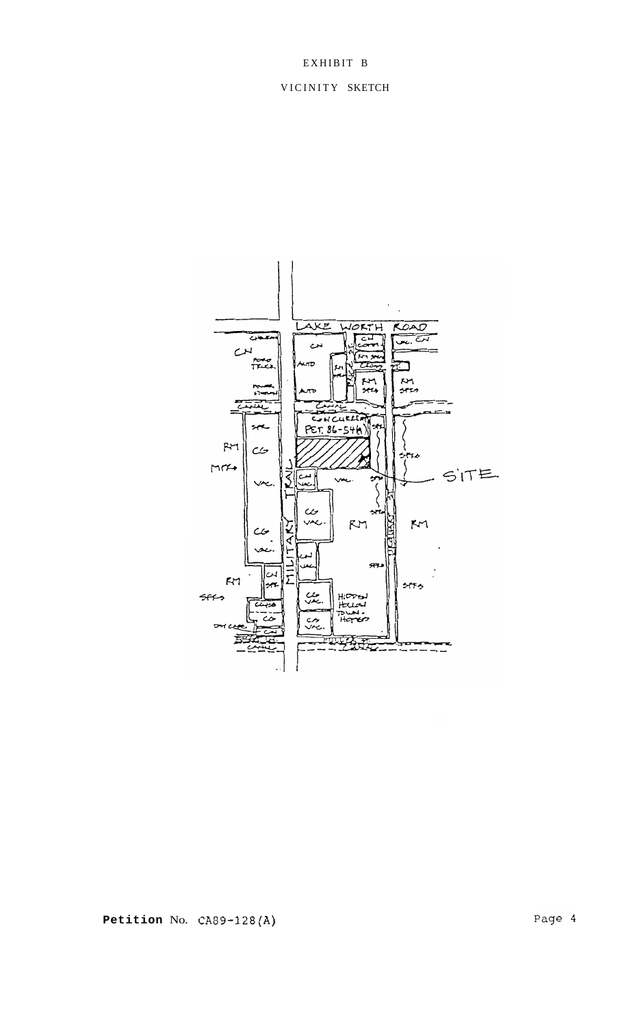# EXHIBIT B

# VICINITY SKETCH



**Petition** No. **CA89-128(A)**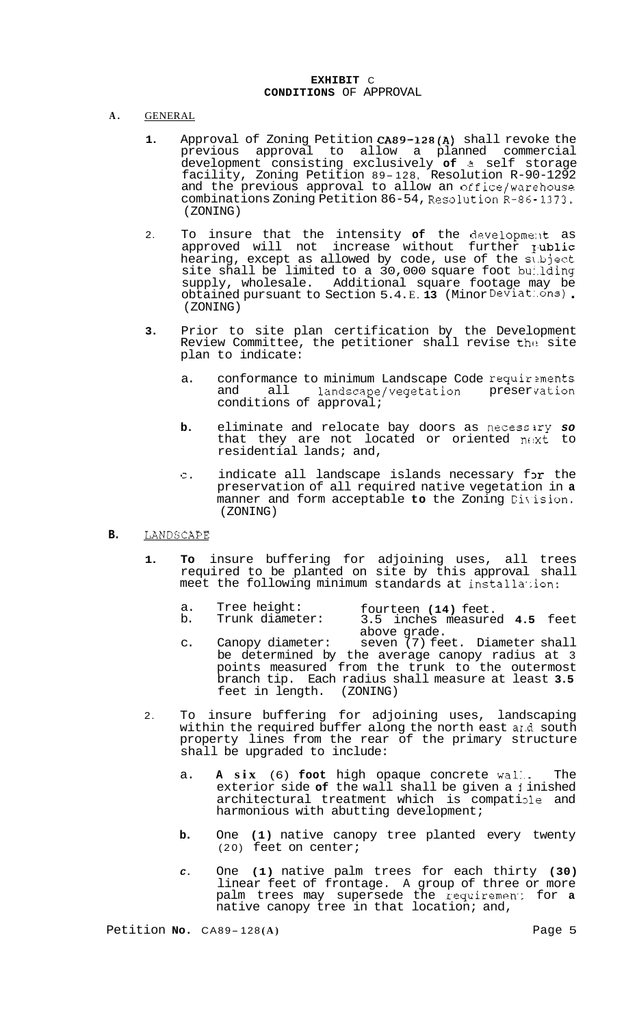### **EXHIBIT** C **CONDITIONS** OF APPROVAL

- **A.** GENERAL
	- **1.** Approval of Zoning Petition **CA89-128(A)** shall revoke the previous approval to allow a planned commercial development consisting exclusively **of** *2* self storage facility, Zoning Petition 89- 128, Resolution R-90-1292 and the previous approval to allow an office/warehouse combinations Zoning Petition 86-54, Resolution  $R-86-1373$ . (ZONING)
	- 2. To insure that the intensity **of** the deve1opme:lt as approved will not increase without further **Iublic** hearing, except as allowed by code, use of the sl.bject site shall be limited to a 30,000 square foot bu:.lding supply, wholesale. Additional square footage may be obtained pursuant to Section 5.4. E. **13** (Minor Deviat:.ons) . (ZONING)
	- **3.** Prior to site plan certification by the Development Review Committee, the petitioner shall revise the site plan to indicate:
		- a. conformance to minimum Landscape Code requirements and all landscape/vegetation preservation conditions of approval;
		- **b.** eliminate and relocate bay doors as necessiry *so*  that they are not located or oriented  $n \in \mathbf{x}^{\mathbf{t}}$  to residential lands; and,
		- c. indicate all landscape islands necessary for the preservation of all required native vegetation in **a**  manner and form acceptable to the Zoning Division. (ZONING)

# **B.** LANDSCAPE

- **1. To** insure buffering for adjoining uses, all trees required to be planted on site by this approval shall meet the following minimum standards at installation:
	- a. Tree height: fourteen **(14)** feet.
	- b. Trunk diameter: 3.5 inches measured **4.5** feet above grade.
	- c. Canopy diameter: seven (7) feet. Diameter shall be determined by the average canopy radius at 3 points measured from the trunk to the outermost branch tip. Each radius shall measure at least **3.5**  feet in length. (ZONING)
- 2. To insure buffering for adjoining uses, landscaping within the required buffer along the north east and south property lines from the rear of the primary structure shall be upgraded to include:
	- a. **A six** (6) **foot** high opaque concrete wal:.. The exterior side **of** the wall shall be given a **1** inished architectural treatment which is compatiole and harmonious with abutting development;
	- **b.** One **(1)** native canopy tree planted every twenty (20) feet on center;
	- *C.* One **(1)** native palm trees for each thirty **(30)**  linear feet of frontage. A group of three or more palm trees may supersede the requiremen.: for **a**  native canopy tree in that location; and,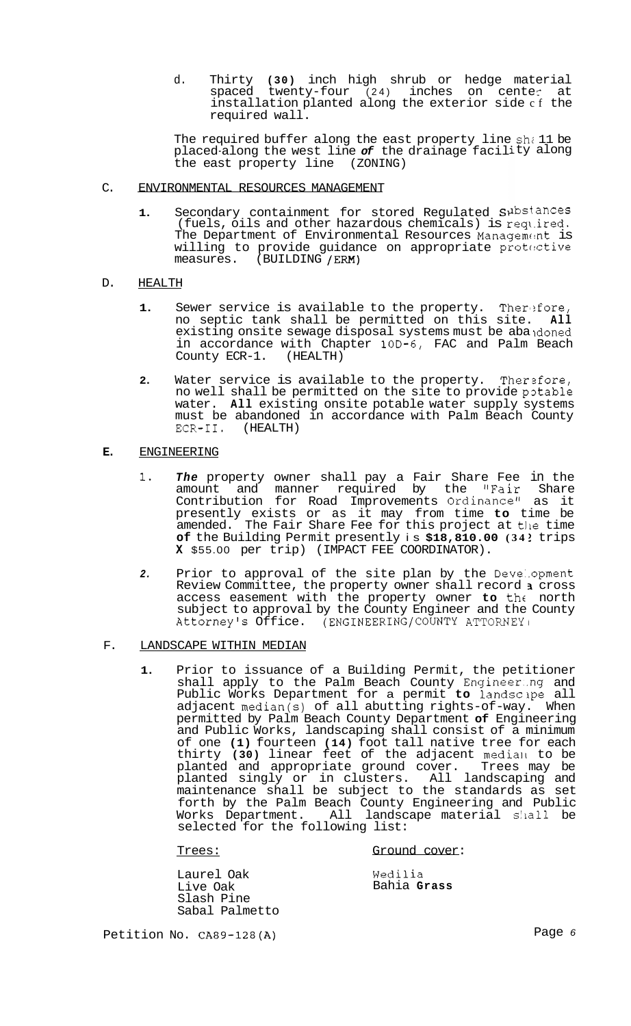d. Thirty **(30)** inch high shrub or hedge material spaced twenty-four (24) inches on cente: at installation planted along the exterior side cf the required wall.

The required buffer along the east property line  $sh$  11 be placed<sup>-</sup>along the west line of the drainage facility along the east property line (ZONING)

### C. ENVIRONMENTAL RESOURCES MANAGEMENT

1. Secondary containment for stored Regulated Substances (fuels, oils and other hazardous chemicals) is reql.ired. The Department of Environmental Resources Management is willing to provide guidance on appropriate protactive measures. (BUILDING  $/$ ERM) (BUILDING / ERM)

## D. HEALTH

- **1.** Sewer service is available to the property. Therefore, no septic tank shall be permitted on this site. **All**  existing onsite sewage disposal systems must be abandoned in accordance with Chapter **10D-6,** FAC and Palm Beach County ECR-1.
- **2.** Water service is available to the property. Therzfore, no well shall be permitted on the site to provide potable water. **All** existing onsite potable water supply systems must be abandoned in accordance with Palm Beach County ECR-11. (HEALTH)

## **E.** ENGINEERING

- *1. The* property owner shall pay a Fair Share Fee in the amount and manner required by the "Fair Share Contribution for Road Improvements Ordinance" as it presently exists or as it may from time **to** time be amended. The Fair Share Fee for this project at tlle time **of** the Building Permit presently is **\$18,810.00 (34** ? trips **X** \$55.00 per trip) (IMPACT FEE COORDINATOR).
- *2.* Prior to approval of the site plan by the Deve:.opment Review Committee, the property owner shall record *2* cross access easement with the property owner to the north subject to approval by the County Engineer and the County Attorney's Office. (ENGINEERING/COUNTY ATTORNEY1

## F. LANDSCAPE WITHIN MEDIAN

**1.** Prior to issuance of a Building Permit, the petitioner shall apply to the Palm Beach County Engineer..ng and Public Works Department for a permit **to** landscipe all adjacent median(s) of all abutting rights-of-way. When permitted by Palm Beach County Department **of** Engineering and Public Works, landscaping shall consist of a minimum of one **(1)** fourteen **(14)** foot tall native tree for each thirty **(30)** linear feet of the adjacent media11 to be planted and appropriate ground cover. Trees may be planted singly or in clusters. All landscaping and maintenance shall be subject to the standards as set forth by the Palm Beach County Engineering and Public Works Department. All landscape material shall be selected for the following list:

Trees: Ground cover:

Laurel Oak Live Oak Slash Pine Sabal Palmetto

Wedilia Bahia **Grass** 

Petition No. **CA89-128(A)** Page *<sup>6</sup>*